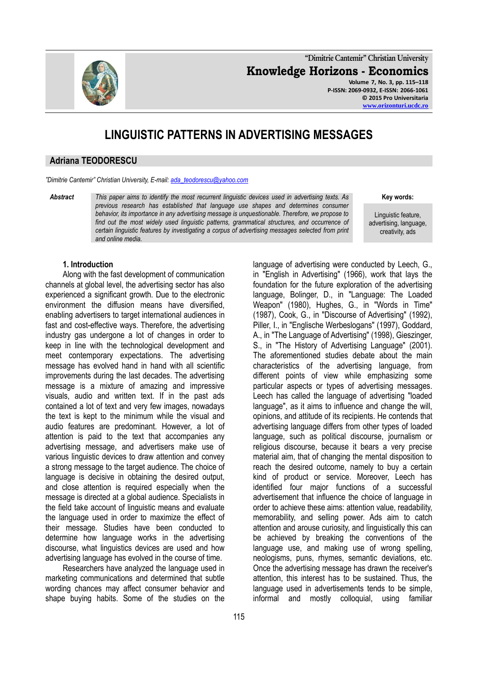**"Dimitrie Cantemir" Christian University Knowledge Horizons - Economics Volume 7, No. 3, pp. 115–118 P-ISSN: 2069-0932, E-ISSN: 2066-1061**

**© 2015 Pro Universitaria [www.orizonturi.ucdc.ro](http://www.orizonturi.ucdc.ro/)**

# **LINGUISTIC PATTERNS IN ADVERTISING MESSAGES**

## **Adriana TEODORESCU**

*"Dimitrie Cantemir" Christian University, E-mail: [ada\\_teodorescu@yahoo.com](mailto:ada_teodorescu@yahoo.com)*

*Abstract This paper aims to identify the most recurrent linguistic devices used in advertising texts. As previous research has established that language use shapes and determines consumer behavior, its importance in any advertising message is unquestionable. Therefore, we propose to*  find out the most widely used linguistic patterns, grammatical structures, and occurrence of *certain linguistic features by investigating a corpus of advertising messages selected from print and online media.* 

**Key words:** 

Linguistic feature, advertising, language, creativity, ads

#### **1. Introduction**

Along with the fast development of communication channels at global level, the advertising sector has also experienced a significant growth. Due to the electronic environment the diffusion means have diversified, enabling advertisers to target international audiences in fast and cost-effective ways. Therefore, the advertising industry gas undergone a lot of changes in order to keep in line with the technological development and meet contemporary expectations. The advertising message has evolved hand in hand with all scientific improvements during the last decades. The advertising message is a mixture of amazing and impressive visuals, audio and written text. If in the past ads contained a lot of text and very few images, nowadays the text is kept to the minimum while the visual and audio features are predominant. However, a lot of attention is paid to the text that accompanies any advertising message, and advertisers make use of various linguistic devices to draw attention and convey a strong message to the target audience. The choice of language is decisive in obtaining the desired output, and close attention is required especially when the message is directed at a global audience. Specialists in the field take account of linguistic means and evaluate the language used in order to maximize the effect of their message. Studies have been conducted to determine how language works in the advertising discourse, what linguistics devices are used and how advertising language has evolved in the course of time.

Researchers have analyzed the language used in marketing communications and determined that subtle wording chances may affect consumer behavior and shape buying habits. Some of the studies on the

in "English in Advertising" (1966), work that lays the foundation for the future exploration of the advertising language, Bolinger, D., in "Language: The Loaded Weapon" (1980), Hughes, G., in "Words in Time" (1987), Cook, G., in "Discourse of Advertising" (1992), Piller, I., in "Englische Werbeslogans" (1997), Goddard, A., in "The Language of Advertising" (1998), Gieszinger, S., in "The History of Advertising Language" (2001). The aforementioned studies debate about the main characteristics of the advertising language, from different points of view while emphasizing some particular aspects or types of advertising messages. Leech has called the language of advertising "loaded language", as it aims to influence and change the will, opinions, and attitude of its recipients. He contends that advertising language differs from other types of loaded language, such as political discourse, journalism or religious discourse, because it bears a very precise material aim, that of changing the mental disposition to reach the desired outcome, namely to buy a certain kind of product or service. Moreover, Leech has identified four major functions of a successful advertisement that influence the choice of language in order to achieve these aims: attention value, readability, memorability, and selling power. Ads aim to catch attention and arouse curiosity, and linguistically this can be achieved by breaking the conventions of the language use, and making use of wrong spelling, neologisms, puns, rhymes, semantic deviations, etc. Once the advertising message has drawn the receiver's attention, this interest has to be sustained. Thus, the language used in advertisements tends to be simple, informal and mostly colloquial, using familiar

language of advertising were conducted by Leech, G.,

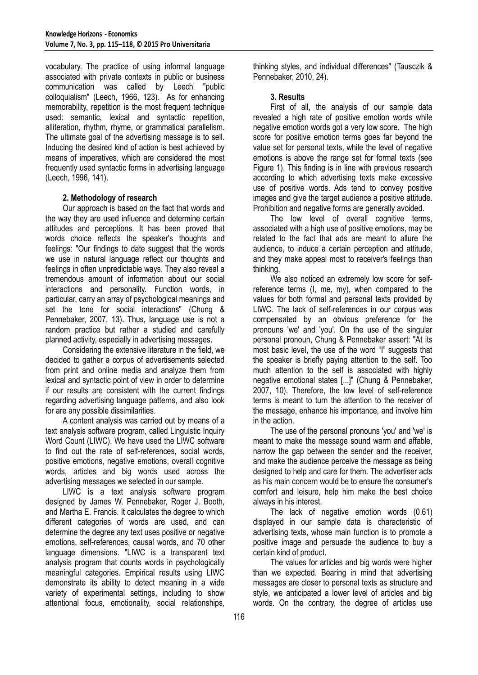vocabulary. The practice of using informal language associated with private contexts in public or business communication was called by Leech "public colloquialism" (Leech, 1966, 123). As for enhancing memorability, repetition is the most frequent technique used: semantic, lexical and syntactic repetition, alliteration, rhythm, rhyme, or grammatical parallelism. The ultimate goal of the advertising message is to sell. Inducing the desired kind of action is best achieved by means of imperatives, which are considered the most frequently used syntactic forms in advertising language (Leech, 1996, 141).

## **2. Methodology of research**

Our approach is based on the fact that words and the way they are used influence and determine certain attitudes and perceptions. It has been proved that words choice reflects the speaker's thoughts and feelings: "Our findings to date suggest that the words we use in natural language reflect our thoughts and feelings in often unpredictable ways. They also reveal a tremendous amount of information about our social interactions and personality. Function words, in particular, carry an array of psychological meanings and set the tone for social interactions" (Chung & Pennebaker, 2007, 13). Thus, language use is not a random practice but rather a studied and carefully planned activity, especially in advertising messages.

Considering the extensive literature in the field, we decided to gather a corpus of advertisements selected from print and online media and analyze them from lexical and syntactic point of view in order to determine if our results are consistent with the current findings regarding advertising language patterns, and also look for are any possible dissimilarities.

A content analysis was carried out by means of a text analysis software program, called Linguistic Inquiry Word Count (LIWC). We have used the LIWC software to find out the rate of self-references, social words, positive emotions, negative emotions, overall cognitive words, articles and big words used across the advertising messages we selected in our sample.

LIWC is a text analysis software program designed by James W. Pennebaker, Roger J. Booth, and Martha E. Francis. It calculates the degree to which different categories of words are used, and can determine the degree any text uses positive or negative emotions, self-references, causal words, and 70 other language dimensions. "LIWC is a transparent text analysis program that counts words in psychologically meaningful categories. Empirical results using LIWC demonstrate its ability to detect meaning in a wide variety of experimental settings, including to show attentional focus, emotionality, social relationships,

thinking styles, and individual differences" (Tausczik & Pennebaker, 2010, 24).

## **3. Results**

First of all, the analysis of our sample data revealed a high rate of positive emotion words while negative emotion words got a very low score. The high score for positive emotion terms goes far beyond the value set for personal texts, while the level of negative emotions is above the range set for formal texts (see Figure 1). This finding is in line with previous research according to which advertising texts make excessive use of positive words. Ads tend to convey positive images and give the target audience a positive attitude. Prohibition and negative forms are generally avoided.

The low level of overall cognitive terms, associated with a high use of positive emotions, may be related to the fact that ads are meant to allure the audience, to induce a certain perception and attitude, and they make appeal most to receiver's feelings than thinking.

We also noticed an extremely low score for selfreference terms (I, me, my), when compared to the values for both formal and personal texts provided by LIWC. The lack of self-references in our corpus was compensated by an obvious preference for the pronouns 'we' and 'you'. On the use of the singular personal pronoun, Chung & Pennebaker assert: "At its most basic level, the use of the word "I" suggests that the speaker is briefly paying attention to the self. Too much attention to the self is associated with highly negative emotional states [...]" (Chung & Pennebaker, 2007, 10). Therefore, the low level of self-reference terms is meant to turn the attention to the receiver of the message, enhance his importance, and involve him in the action.

The use of the personal pronouns 'you' and 'we' is meant to make the message sound warm and affable, narrow the gap between the sender and the receiver, and make the audience perceive the message as being designed to help and care for them. The advertiser acts as his main concern would be to ensure the consumer's comfort and leisure, help him make the best choice always in his interest.

The lack of negative emotion words (0.61) displayed in our sample data is characteristic of advertising texts, whose main function is to promote a positive image and persuade the audience to buy a certain kind of product.

The values for articles and big words were higher than we expected. Bearing in mind that advertising messages are closer to personal texts as structure and style, we anticipated a lower level of articles and big words. On the contrary, the degree of articles use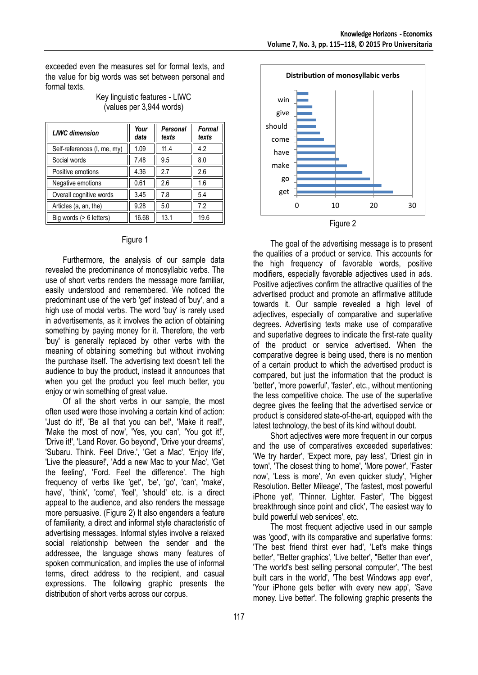exceeded even the measures set for formal texts, and the value for big words was set between personal and formal texts.

| <b>LIWC</b> dimension       | Your<br>data | Personal<br>texts | <b>Formal</b><br>texts |
|-----------------------------|--------------|-------------------|------------------------|
| Self-references (I, me, my) | 1.09         | 11.4              | 4.2                    |
| Social words                | 7.48         | 9.5               | 8.0                    |
| Positive emotions           | 4.36         | 2.7               | 2.6                    |
| Negative emotions           | 0.61         | 2.6               | 1.6                    |
| Overall cognitive words     | 3.45         | 7.8               | 5.4                    |
| Articles (a, an, the)       | 9.28         | 5.0               | 7.2                    |
| Big words (> 6 letters)     | 16.68        | 13.1              | 19.6                   |

Key linguistic features - LIWC (values per 3,944 words)

#### Figure 1

Furthermore, the analysis of our sample data revealed the predominance of monosyllabic verbs. The use of short verbs renders the message more familiar, easily understood and remembered. We noticed the predominant use of the verb 'get' instead of 'buy', and a high use of modal verbs. The word 'buy' is rarely used in advertisements, as it involves the action of obtaining something by paying money for it. Therefore, the verb 'buy' is generally replaced by other verbs with the meaning of obtaining something but without involving the purchase itself. The advertising text doesn't tell the audience to buy the product, instead it announces that when you get the product you feel much better, you enjoy or win something of great value.

Of all the short verbs in our sample, the most often used were those involving a certain kind of action: 'Just do it!', 'Be all that you can be!', 'Make it real!', 'Make the most of now', 'Yes, you can', 'You got it!', 'Drive it!', 'Land Rover. Go beyond', 'Drive your dreams', 'Subaru. Think. Feel Drive.', 'Get a Mac', 'Enjoy life', 'Live the pleasure!', 'Add a new Mac to your Mac', 'Get the feeling', 'Ford. Feel the difference'. The high frequency of verbs like 'get', 'be', 'go', 'can', 'make', have', 'think', 'come', 'feel', 'should' etc. is a direct appeal to the audience, and also renders the message more persuasive. (Figure 2) It also engenders a feature of familiarity, a direct and informal style characteristic of advertising messages. Informal styles involve a relaxed social relationship between the sender and the addressee, the language shows many features of spoken communication, and implies the use of informal terms, direct address to the recipient, and casual expressions. The following graphic presents the distribution of short verbs across our corpus.



The goal of the advertising message is to present the qualities of a product or service. This accounts for the high frequency of favorable words, positive modifiers, especially favorable adjectives used in ads. Positive adjectives confirm the attractive qualities of the advertised product and promote an affirmative attitude towards it. Our sample revealed a high level of adjectives, especially of comparative and superlative degrees. Advertising texts make use of comparative and superlative degrees to indicate the first-rate quality of the product or service advertised. When the comparative degree is being used, there is no mention of a certain product to which the advertised product is compared, but just the information that the product is 'better', 'more powerful', 'faster', etc., without mentioning the less competitive choice. The use of the superlative degree gives the feeling that the advertised service or product is considered state-of-the-art, equipped with the latest technology, the best of its kind without doubt.

Short adjectives were more frequent in our corpus and the use of comparatives exceeded superlatives: 'We try harder', 'Expect more, pay less', 'Driest gin in town', 'The closest thing to home', 'More power', 'Faster now', 'Less is more', 'An even quicker study', 'Higher Resolution. Better Mileage', 'The fastest, most powerful iPhone yet', 'Thinner. Lighter. Faster', 'The biggest breakthrough since point and click', 'The easiest way to build powerful web services', etc.

The most frequent adjective used in our sample was 'good', with its comparative and superlative forms: 'The best friend thirst ever had', 'Let's make things better', "Better graphics', 'Live better', "Better than ever', 'The world's best selling personal computer', 'The best built cars in the world', 'The best Windows app ever', 'Your iPhone gets better with every new app', 'Save money. Live better'. The following graphic presents the